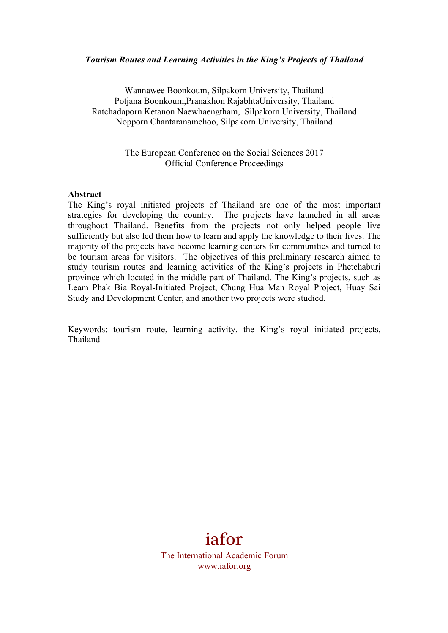### *Tourism Routes and Learning Activities in the King's Projects of Thailand*

Wannawee Boonkoum, Silpakorn University, Thailand Potjana Boonkoum,Pranakhon RajabhtaUniversity, Thailand Ratchadaporn Ketanon Naewhaengtham, Silpakorn University, Thailand Nopporn Chantaranamchoo, Silpakorn University, Thailand

> The European Conference on the Social Sciences 2017 Official Conference Proceedings

### **Abstract**

The King's royal initiated projects of Thailand are one of the most important strategies for developing the country. The projects have launched in all areas throughout Thailand. Benefits from the projects not only helped people live sufficiently but also led them how to learn and apply the knowledge to their lives. The majority of the projects have become learning centers for communities and turned to be tourism areas for visitors. The objectives of this preliminary research aimed to study tourism routes and learning activities of the King's projects in Phetchaburi province which located in the middle part of Thailand. The King's projects, such as Leam Phak Bia Royal-Initiated Project, Chung Hua Man Royal Project, Huay Sai Study and Development Center, and another two projects were studied.

Keywords: tourism route, learning activity, the King's royal initiated projects, Thailand

# iafor

The International Academic Forum www.iafor.org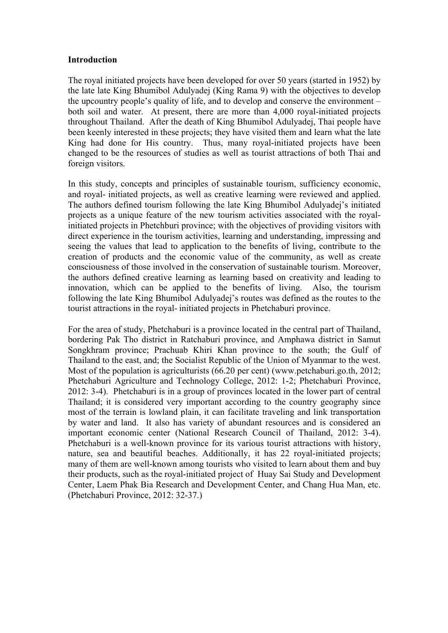### **Introduction**

The royal initiated projects have been developed for over 50 years (started in 1952) by the late late King Bhumibol Adulyadej (King Rama 9) with the objectives to develop the upcountry people's quality of life, and to develop and conserve the environment – both soil and water. At present, there are more than 4,000 royal-initiated projects throughout Thailand. After the death of King Bhumibol Adulyadej, Thai people have been keenly interested in these projects; they have visited them and learn what the late King had done for His country. Thus, many royal-initiated projects have been changed to be the resources of studies as well as tourist attractions of both Thai and foreign visitors.

In this study, concepts and principles of sustainable tourism, sufficiency economic, and royal- initiated projects, as well as creative learning were reviewed and applied. The authors defined tourism following the late King Bhumibol Adulyadej's initiated projects as a unique feature of the new tourism activities associated with the royalinitiated projects in Phetchburi province; with the objectives of providing visitors with direct experience in the tourism activities, learning and understanding, impressing and seeing the values that lead to application to the benefits of living, contribute to the creation of products and the economic value of the community, as well as create consciousness of those involved in the conservation of sustainable tourism. Moreover, the authors defined creative learning as learning based on creativity and leading to innovation, which can be applied to the benefits of living. Also, the tourism following the late King Bhumibol Adulyadej's routes was defined as the routes to the tourist attractions in the royal- initiated projects in Phetchaburi province.

For the area of study, Phetchaburi is a province located in the central part of Thailand, bordering Pak Tho district in Ratchaburi province, and Amphawa district in Samut Songkhram province; Prachuab Khiri Khan province to the south; the Gulf of Thailand to the east, and; the Socialist Republic of the Union of Myanmar to the west. Most of the population is agriculturists (66.20 per cent) (www.petchaburi.go.th, 2012; Phetchaburi Agriculture and Technology College, 2012: 1-2; Phetchaburi Province, 2012: 3-4). Phetchaburi is in a group of provinces located in the lower part of central Thailand; it is considered very important according to the country geography since most of the terrain is lowland plain, it can facilitate traveling and link transportation by water and land. It also has variety of abundant resources and is considered an important economic center (National Research Council of Thailand, 2012: 3-4). Phetchaburi is a well-known province for its various tourist attractions with history, nature, sea and beautiful beaches. Additionally, it has 22 royal-initiated projects; many of them are well-known among tourists who visited to learn about them and buy their products, such as the royal-initiated project of Huay Sai Study and Development Center, Laem Phak Bia Research and Development Center, and Chang Hua Man, etc. (Phetchaburi Province, 2012: 32-37.)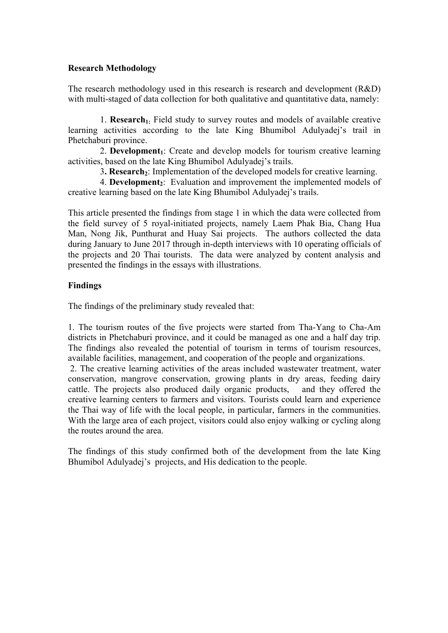# **Research Methodology**

The research methodology used in this research is research and development (R&D) with multi-staged of data collection for both qualitative and quantitative data, namely:

1. **Research**<sub>1</sub>: Field study to survey routes and models of available creative learning activities according to the late King Bhumibol Adulyadej's trail in Phetchaburi province.

2. **Development**<sub>1</sub>: Create and develop models for tourism creative learning activities, based on the late King Bhumibol Adulyadej's trails.

3. **Research**<sub>2</sub>: Implementation of the developed models for creative learning.

4. **Development**<sub>2</sub>: Evaluation and improvement the implemented models of creative learning based on the late King Bhumibol Adulyadej's trails.

This article presented the findings from stage 1 in which the data were collected from the field survey of 5 royal-initiated projects, namely Laem Phak Bia, Chang Hua Man, Nong Jik, Punthurat and Huay Sai projects. The authors collected the data during January to June 2017 through in-depth interviews with 10 operating officials of the projects and 20 Thai tourists. The data were analyzed by content analysis and presented the findings in the essays with illustrations.

# **Findings**

The findings of the preliminary study revealed that:

1. The tourism routes of the five projects were started from Tha-Yang to Cha-Am districts in Phetchaburi province, and it could be managed as one and a half day trip. The findings also revealed the potential of tourism in terms of tourism resources, available facilities, management, and cooperation of the people and organizations.

2. The creative learning activities of the areas included wastewater treatment, water conservation, mangrove conservation, growing plants in dry areas, feeding dairy cattle. The projects also produced daily organic products, and they offered the creative learning centers to farmers and visitors. Tourists could learn and experience the Thai way of life with the local people, in particular, farmers in the communities. With the large area of each project, visitors could also enjoy walking or cycling along the routes around the area.

The findings of this study confirmed both of the development from the late King Bhumibol Adulyadej's projects, and His dedication to the people.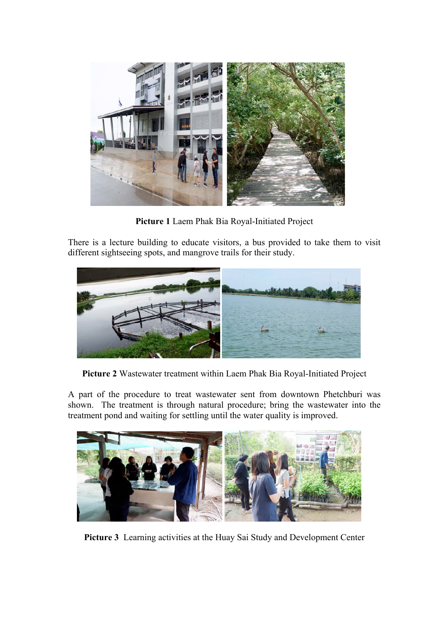

**Picture 1** Laem Phak Bia Royal-Initiated Project

There is a lecture building to educate visitors, a bus provided to take them to visit different sightseeing spots, and mangrove trails for their study.



**Picture 2** Wastewater treatment within Laem Phak Bia Royal-Initiated Project

A part of the procedure to treat wastewater sent from downtown Phetchburi was shown. The treatment is through natural procedure; bring the wastewater into the treatment pond and waiting for settling until the water quality is improved.



**Picture 3** Learning activities at the Huay Sai Study and Development Center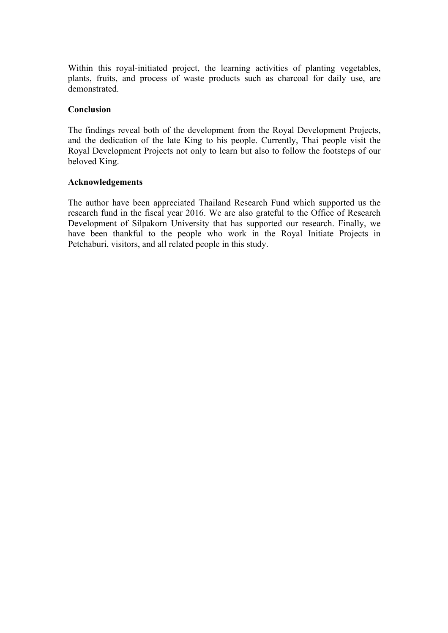Within this royal-initiated project, the learning activities of planting vegetables, plants, fruits, and process of waste products such as charcoal for daily use, are demonstrated.

## **Conclusion**

The findings reveal both of the development from the Royal Development Projects, and the dedication of the late King to his people. Currently, Thai people visit the Royal Development Projects not only to learn but also to follow the footsteps of our beloved King.

#### **Acknowledgements**

The author have been appreciated Thailand Research Fund which supported us the research fund in the fiscal year 2016. We are also grateful to the Office of Research Development of Silpakorn University that has supported our research. Finally, we have been thankful to the people who work in the Royal Initiate Projects in Petchaburi, visitors, and all related people in this study.